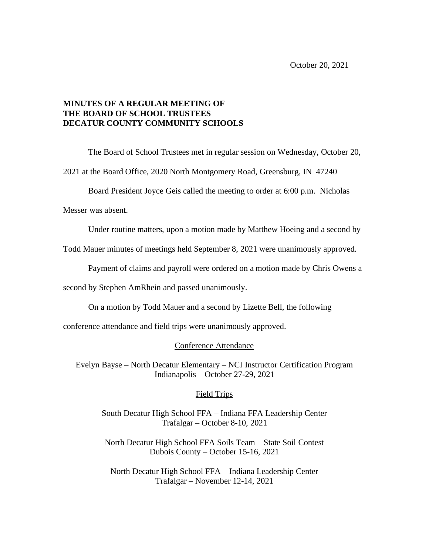## **MINUTES OF A REGULAR MEETING OF THE BOARD OF SCHOOL TRUSTEES DECATUR COUNTY COMMUNITY SCHOOLS**

The Board of School Trustees met in regular session on Wednesday, October 20,

2021 at the Board Office, 2020 North Montgomery Road, Greensburg, IN 47240

Board President Joyce Geis called the meeting to order at 6:00 p.m. Nicholas

Messer was absent.

Under routine matters, upon a motion made by Matthew Hoeing and a second by

Todd Mauer minutes of meetings held September 8, 2021 were unanimously approved.

Payment of claims and payroll were ordered on a motion made by Chris Owens a

second by Stephen AmRhein and passed unanimously.

On a motion by Todd Mauer and a second by Lizette Bell, the following

conference attendance and field trips were unanimously approved.

Conference Attendance

Evelyn Bayse – North Decatur Elementary – NCI Instructor Certification Program Indianapolis – October 27-29, 2021

## Field Trips

South Decatur High School FFA – Indiana FFA Leadership Center Trafalgar – October 8-10, 2021

North Decatur High School FFA Soils Team – State Soil Contest Dubois County – October 15-16, 2021

North Decatur High School FFA – Indiana Leadership Center Trafalgar – November 12-14, 2021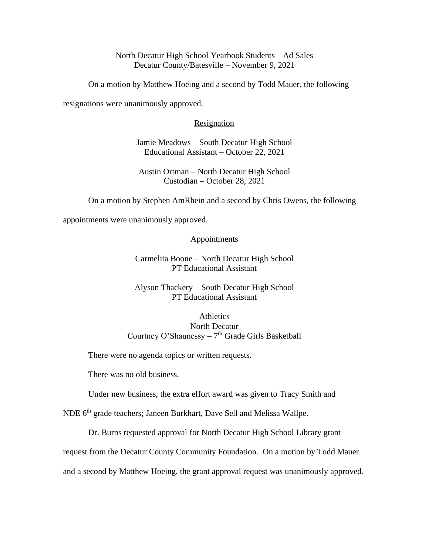North Decatur High School Yearbook Students – Ad Sales Decatur County/Batesville – November 9, 2021

On a motion by Matthew Hoeing and a second by Todd Mauer, the following

resignations were unanimously approved.

## Resignation

Jamie Meadows – South Decatur High School Educational Assistant – October 22, 2021

Austin Ortman – North Decatur High School Custodian – October 28, 2021

On a motion by Stephen AmRhein and a second by Chris Owens, the following

appointments were unanimously approved.

## **Appointments**

Carmelita Boone – North Decatur High School PT Educational Assistant

Alyson Thackery – South Decatur High School PT Educational Assistant

**Athletics** North Decatur Courtney O'Shaunessy  $-7<sup>th</sup>$  Grade Girls Basketball

There were no agenda topics or written requests.

There was no old business.

Under new business, the extra effort award was given to Tracy Smith and

NDE 6<sup>th</sup> grade teachers; Janeen Burkhart, Dave Sell and Melissa Wallpe.

Dr. Burns requested approval for North Decatur High School Library grant

request from the Decatur County Community Foundation. On a motion by Todd Mauer

and a second by Matthew Hoeing, the grant approval request was unanimously approved.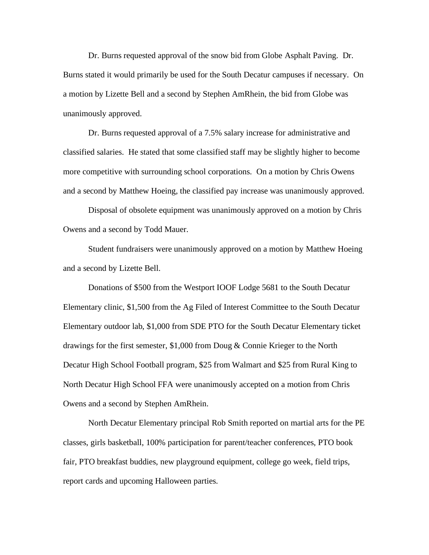Dr. Burns requested approval of the snow bid from Globe Asphalt Paving. Dr. Burns stated it would primarily be used for the South Decatur campuses if necessary. On a motion by Lizette Bell and a second by Stephen AmRhein, the bid from Globe was unanimously approved.

Dr. Burns requested approval of a 7.5% salary increase for administrative and classified salaries. He stated that some classified staff may be slightly higher to become more competitive with surrounding school corporations. On a motion by Chris Owens and a second by Matthew Hoeing, the classified pay increase was unanimously approved.

Disposal of obsolete equipment was unanimously approved on a motion by Chris Owens and a second by Todd Mauer.

Student fundraisers were unanimously approved on a motion by Matthew Hoeing and a second by Lizette Bell.

Donations of \$500 from the Westport IOOF Lodge 5681 to the South Decatur Elementary clinic, \$1,500 from the Ag Filed of Interest Committee to the South Decatur Elementary outdoor lab, \$1,000 from SDE PTO for the South Decatur Elementary ticket drawings for the first semester, \$1,000 from Doug & Connie Krieger to the North Decatur High School Football program, \$25 from Walmart and \$25 from Rural King to North Decatur High School FFA were unanimously accepted on a motion from Chris Owens and a second by Stephen AmRhein.

North Decatur Elementary principal Rob Smith reported on martial arts for the PE classes, girls basketball, 100% participation for parent/teacher conferences, PTO book fair, PTO breakfast buddies, new playground equipment, college go week, field trips, report cards and upcoming Halloween parties.